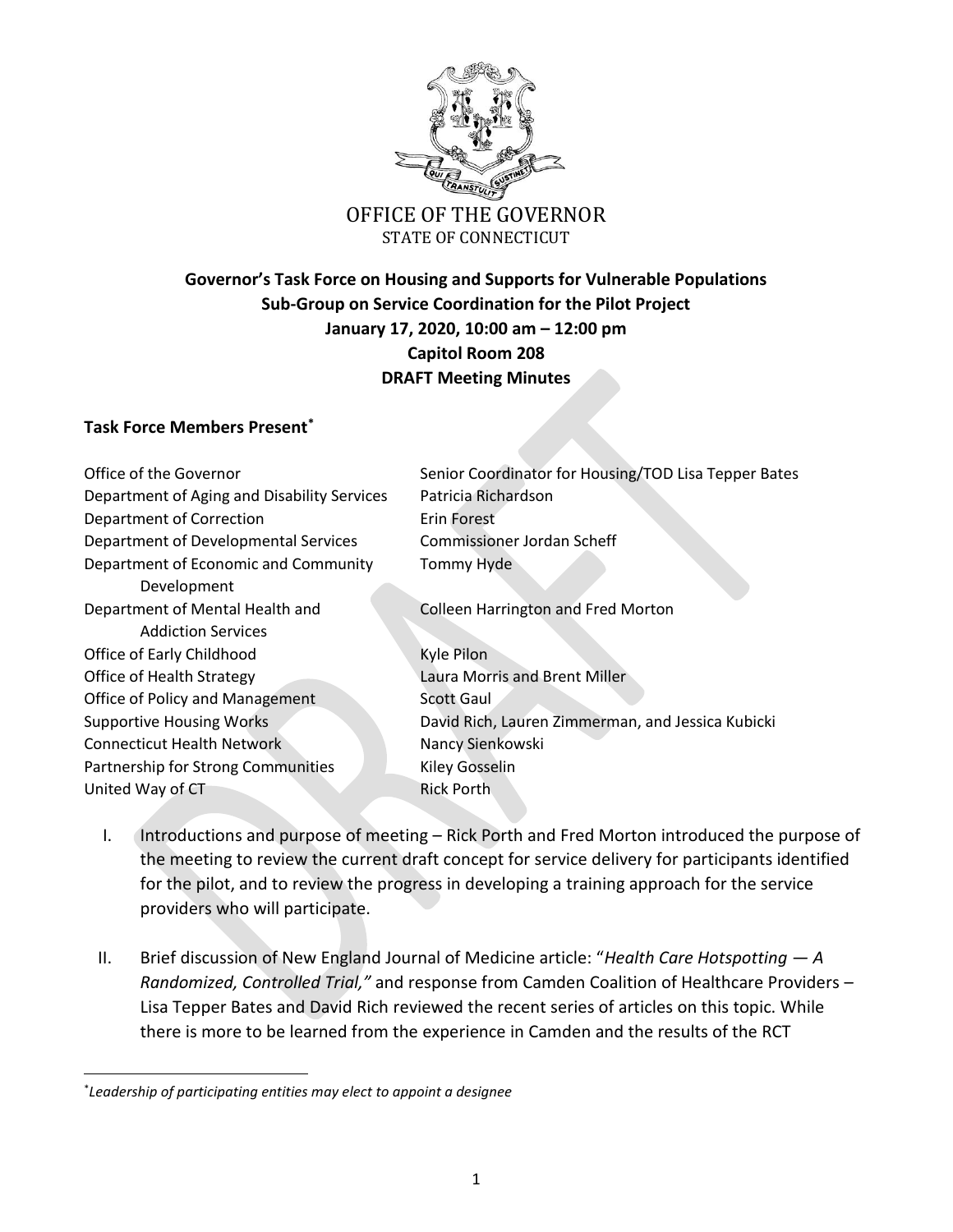

## OFFICE OF THE GOVERNOR STATE OF CONNECTICUT

## **Governor's Task Force on Housing and Supports for Vulnerable Populations Sub-Group on Service Coordination for the Pilot Project January 17, 2020, 10:00 am – 12:00 pm Capitol Room 208 DRAFT Meeting Minutes**

## **Task Force Members Present\***

| Office of the Governor                      | Senior Coordinator for Housing/TOD Lisa Tepper Bates |
|---------------------------------------------|------------------------------------------------------|
| Department of Aging and Disability Services | Patricia Richardson                                  |
| Department of Correction                    | Erin Forest                                          |
| Department of Developmental Services        | Commissioner Jordan Scheff                           |
| Department of Economic and Community        | <b>Tommy Hyde</b>                                    |
| Development                                 |                                                      |
| Department of Mental Health and             | <b>Colleen Harrington and Fred Morton</b>            |
| <b>Addiction Services</b>                   |                                                      |
| Office of Early Childhood                   | Kyle Pilon                                           |
| Office of Health Strategy                   | Laura Morris and Brent Miller                        |
| Office of Policy and Management             | <b>Scott Gaul</b>                                    |
| <b>Supportive Housing Works</b>             | David Rich, Lauren Zimmerman, and Jessica Kubicki    |
| <b>Connecticut Health Network</b>           | Nancy Sienkowski                                     |
| Partnership for Strong Communities          | Kiley Gosselin                                       |
| United Way of CT                            | <b>Rick Porth</b>                                    |
|                                             |                                                      |

- I. Introductions and purpose of meeting Rick Porth and Fred Morton introduced the purpose of the meeting to review the current draft concept for service delivery for participants identified for the pilot, and to review the progress in developing a training approach for the service providers who will participate.
- II. Brief discussion of New England Journal of Medicine article: "*Health Care Hotspotting — A Randomized, Controlled Trial,"* and response from Camden Coalition of Healthcare Providers – Lisa Tepper Bates and David Rich reviewed the recent series of articles on this topic. While there is more to be learned from the experience in Camden and the results of the RCT

 $\overline{\phantom{a}}$ 

<sup>\*</sup> *Leadership of participating entities may elect to appoint a designee*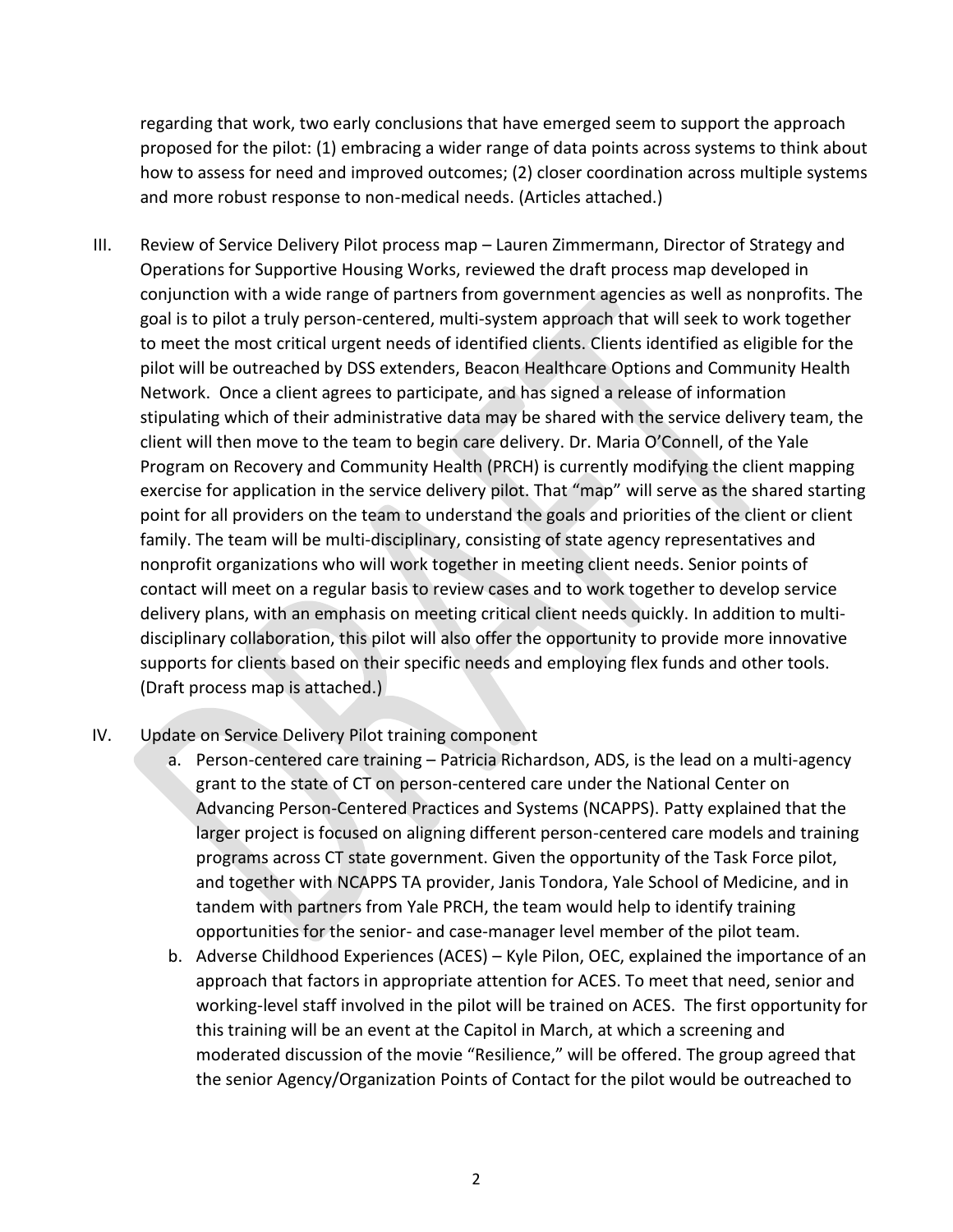regarding that work, two early conclusions that have emerged seem to support the approach proposed for the pilot: (1) embracing a wider range of data points across systems to think about how to assess for need and improved outcomes; (2) closer coordination across multiple systems and more robust response to non-medical needs. (Articles attached.)

- III. Review of Service Delivery Pilot process map Lauren Zimmermann, Director of Strategy and Operations for Supportive Housing Works, reviewed the draft process map developed in conjunction with a wide range of partners from government agencies as well as nonprofits. The goal is to pilot a truly person-centered, multi-system approach that will seek to work together to meet the most critical urgent needs of identified clients. Clients identified as eligible for the pilot will be outreached by DSS extenders, Beacon Healthcare Options and Community Health Network. Once a client agrees to participate, and has signed a release of information stipulating which of their administrative data may be shared with the service delivery team, the client will then move to the team to begin care delivery. Dr. Maria O'Connell, of the Yale Program on Recovery and Community Health (PRCH) is currently modifying the client mapping exercise for application in the service delivery pilot. That "map" will serve as the shared starting point for all providers on the team to understand the goals and priorities of the client or client family. The team will be multi-disciplinary, consisting of state agency representatives and nonprofit organizations who will work together in meeting client needs. Senior points of contact will meet on a regular basis to review cases and to work together to develop service delivery plans, with an emphasis on meeting critical client needs quickly. In addition to multidisciplinary collaboration, this pilot will also offer the opportunity to provide more innovative supports for clients based on their specific needs and employing flex funds and other tools. (Draft process map is attached.)
- IV. Update on Service Delivery Pilot training component
	- a. Person-centered care training Patricia Richardson, ADS, is the lead on a multi-agency grant to the state of CT on person-centered care under the National Center on Advancing Person-Centered Practices and Systems (NCAPPS). Patty explained that the larger project is focused on aligning different person-centered care models and training programs across CT state government. Given the opportunity of the Task Force pilot, and together with NCAPPS TA provider, Janis Tondora, Yale School of Medicine, and in tandem with partners from Yale PRCH, the team would help to identify training opportunities for the senior- and case-manager level member of the pilot team.
	- b. Adverse Childhood Experiences (ACES) Kyle Pilon, OEC, explained the importance of an approach that factors in appropriate attention for ACES. To meet that need, senior and working-level staff involved in the pilot will be trained on ACES. The first opportunity for this training will be an event at the Capitol in March, at which a screening and moderated discussion of the movie "Resilience," will be offered. The group agreed that the senior Agency/Organization Points of Contact for the pilot would be outreached to